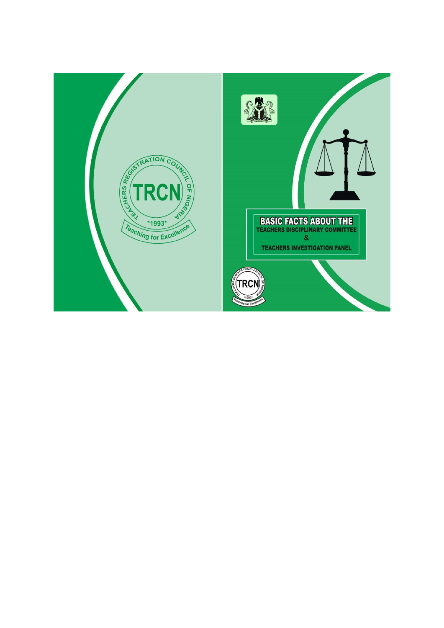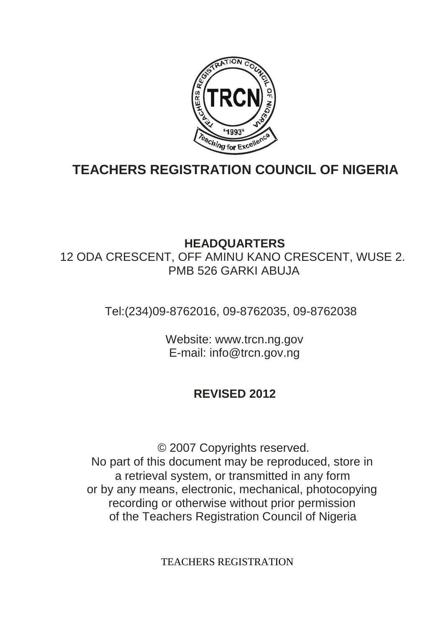

# **TEACHERS REGISTRATION COUNCIL OF NIGERIA**

## **HEADQUARTERS**

12 ODA CRESCENT, OFF AMINU KANO CRESCENT, WUSE 2. PMB 526 GARKI ABUJA

Tel:(234)09-8762016, 09-8762035, 09-8762038

Website: www.trcn.ng.gov E-mail: info@trcn.gov.ng

## **REVISED 2012**

© 2007 Copyrights reserved. No part of this document may be reproduced, store in a retrieval system, or transmitted in any form or by any means, electronic, mechanical, photocopying recording or otherwise without prior permission of the Teachers Registration Council of Nigeria

TEACHERS REGISTRATION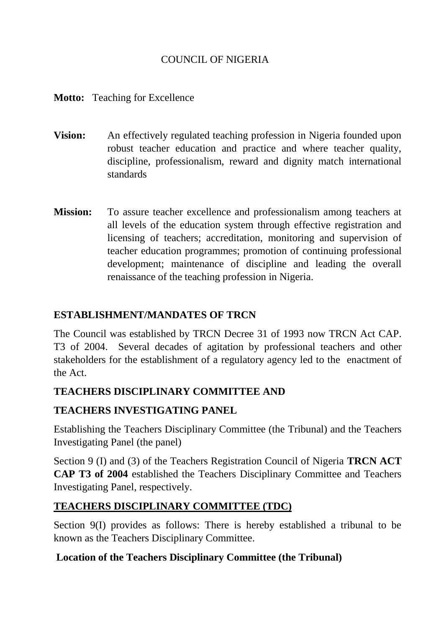## COUNCIL OF NIGERIA

#### **Motto:** Teaching for Excellence

- **Vision:** An effectively regulated teaching profession in Nigeria founded upon robust teacher education and practice and where teacher quality, discipline, professionalism, reward and dignity match international standards
- **Mission:** To assure teacher excellence and professionalism among teachers at all levels of the education system through effective registration and licensing of teachers; accreditation, monitoring and supervision of teacher education programmes; promotion of continuing professional development; maintenance of discipline and leading the overall renaissance of the teaching profession in Nigeria.

## **ESTABLISHMENT/MANDATES OF TRCN**

The Council was established by TRCN Decree 31 of 1993 now TRCN Act CAP. T3 of 2004. Several decades of agitation by professional teachers and other stakeholders for the establishment of a regulatory agency led to the enactment of the Act.

## **TEACHERS DISCIPLINARY COMMITTEE AND**

## **TEACHERS INVESTIGATING PANEL**

Establishing the Teachers Disciplinary Committee (the Tribunal) and the Teachers Investigating Panel (the panel)

Section 9 (I) and (3) of the Teachers Registration Council of Nigeria **TRCN ACT CAP T3 of 2004** established the Teachers Disciplinary Committee and Teachers Investigating Panel, respectively.

## **TEACHERS DISCIPLINARY COMMITTEE (TDC)**

Section 9(I) provides as follows: There is hereby established a tribunal to be known as the Teachers Disciplinary Committee.

## **Location of the Teachers Disciplinary Committee (the Tribunal)**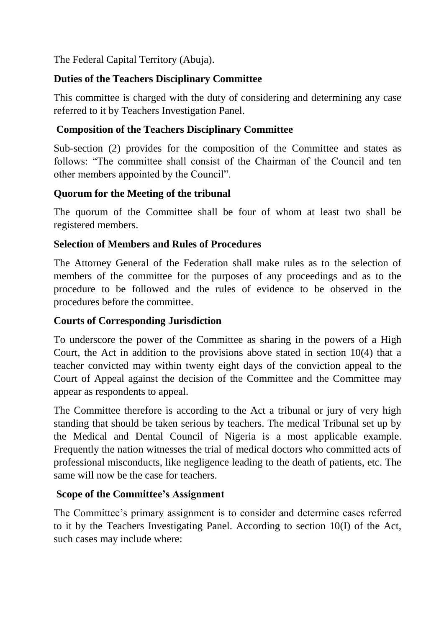The Federal Capital Territory (Abuja).

## **Duties of the Teachers Disciplinary Committee**

This committee is charged with the duty of considering and determining any case referred to it by Teachers Investigation Panel.

## **Composition of the Teachers Disciplinary Committee**

Sub-section (2) provides for the composition of the Committee and states as follows: "The committee shall consist of the Chairman of the Council and ten other members appointed by the Council".

## **Quorum for the Meeting of the tribunal**

The quorum of the Committee shall be four of whom at least two shall be registered members.

## **Selection of Members and Rules of Procedures**

The Attorney General of the Federation shall make rules as to the selection of members of the committee for the purposes of any proceedings and as to the procedure to be followed and the rules of evidence to be observed in the procedures before the committee.

## **Courts of Corresponding Jurisdiction**

To underscore the power of the Committee as sharing in the powers of a High Court, the Act in addition to the provisions above stated in section 10(4) that a teacher convicted may within twenty eight days of the conviction appeal to the Court of Appeal against the decision of the Committee and the Committee may appear as respondents to appeal.

The Committee therefore is according to the Act a tribunal or jury of very high standing that should be taken serious by teachers. The medical Tribunal set up by the Medical and Dental Council of Nigeria is a most applicable example. Frequently the nation witnesses the trial of medical doctors who committed acts of professional misconducts, like negligence leading to the death of patients, etc. The same will now be the case for teachers.

## **Scope of the Committee's Assignment**

The Committee's primary assignment is to consider and determine cases referred to it by the Teachers Investigating Panel. According to section 10(I) of the Act, such cases may include where: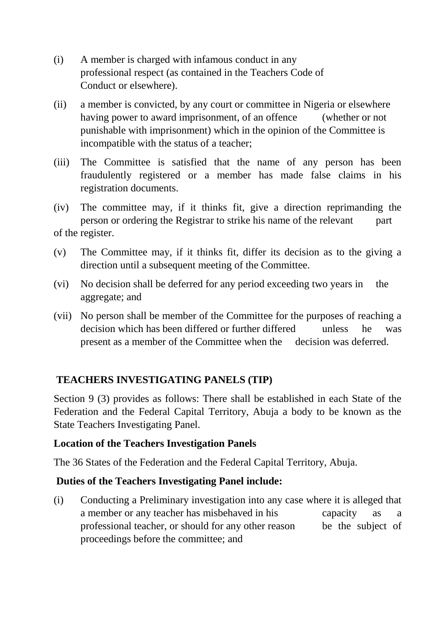- (i) A member is charged with infamous conduct in any professional respect (as contained in the Teachers Code of Conduct or elsewhere).
- (ii) a member is convicted, by any court or committee in Nigeria or elsewhere having power to award imprisonment, of an offence (whether or not punishable with imprisonment) which in the opinion of the Committee is incompatible with the status of a teacher;
- (iii) The Committee is satisfied that the name of any person has been fraudulently registered or a member has made false claims in his registration documents.

(iv) The committee may, if it thinks fit, give a direction reprimanding the person or ordering the Registrar to strike his name of the relevant part of the register.

- (v) The Committee may, if it thinks fit, differ its decision as to the giving a direction until a subsequent meeting of the Committee.
- (vi) No decision shall be deferred for any period exceeding two years in the aggregate; and
- (vii) No person shall be member of the Committee for the purposes of reaching a decision which has been differed or further differed unless he was present as a member of the Committee when the decision was deferred.

## **TEACHERS INVESTIGATING PANELS (TIP)**

Section 9 (3) provides as follows: There shall be established in each State of the Federation and the Federal Capital Territory, Abuja a body to be known as the State Teachers Investigating Panel.

## **Location of the Teachers Investigation Panels**

The 36 States of the Federation and the Federal Capital Territory, Abuja.

## **Duties of the Teachers Investigating Panel include:**

(i) Conducting a Preliminary investigation into any case where it is alleged that a member or any teacher has misbehaved in his capacity as a professional teacher, or should for any other reason be the subject of proceedings before the committee; and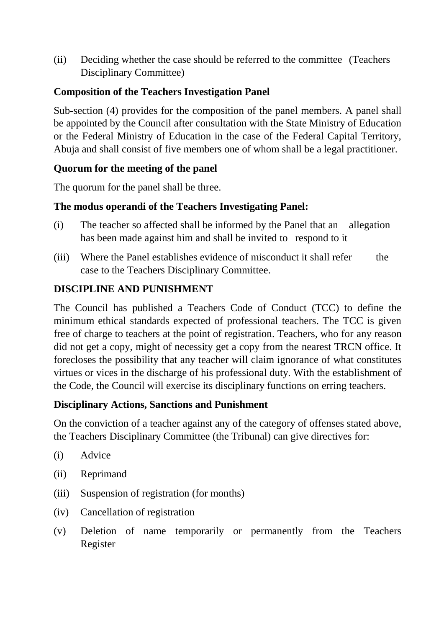(ii) Deciding whether the case should be referred to the committee (Teachers Disciplinary Committee)

## **Composition of the Teachers Investigation Panel**

Sub-section (4) provides for the composition of the panel members. A panel shall be appointed by the Council after consultation with the State Ministry of Education or the Federal Ministry of Education in the case of the Federal Capital Territory, Abuja and shall consist of five members one of whom shall be a legal practitioner.

## **Quorum for the meeting of the panel**

The quorum for the panel shall be three.

## **The modus operandi of the Teachers Investigating Panel:**

- (i) The teacher so affected shall be informed by the Panel that an allegation has been made against him and shall be invited to respond to it
- (iii) Where the Panel establishes evidence of misconduct it shall refer the case to the Teachers Disciplinary Committee.

## **DISCIPLINE AND PUNISHMENT**

The Council has published a Teachers Code of Conduct (TCC) to define the minimum ethical standards expected of professional teachers. The TCC is given free of charge to teachers at the point of registration. Teachers, who for any reason did not get a copy, might of necessity get a copy from the nearest TRCN office. It forecloses the possibility that any teacher will claim ignorance of what constitutes virtues or vices in the discharge of his professional duty. With the establishment of the Code, the Council will exercise its disciplinary functions on erring teachers.

#### **Disciplinary Actions, Sanctions and Punishment**

On the conviction of a teacher against any of the category of offenses stated above, the Teachers Disciplinary Committee (the Tribunal) can give directives for:

- (i) Advice
- (ii) Reprimand
- (iii) Suspension of registration (for months)
- (iv) Cancellation of registration
- (v) Deletion of name temporarily or permanently from the Teachers Register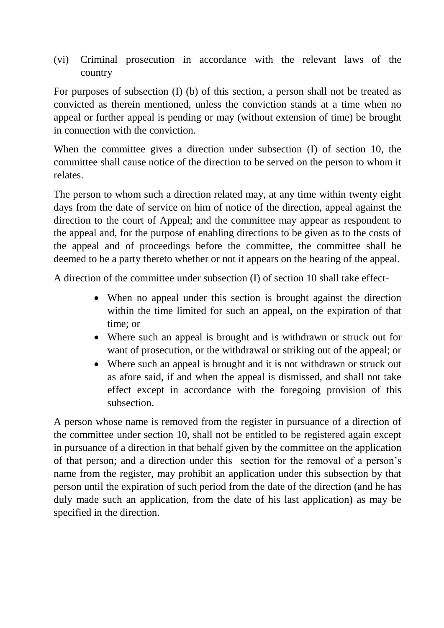(vi) Criminal prosecution in accordance with the relevant laws of the country

For purposes of subsection (I) (b) of this section, a person shall not be treated as convicted as therein mentioned, unless the conviction stands at a time when no appeal or further appeal is pending or may (without extension of time) be brought in connection with the conviction.

When the committee gives a direction under subsection (I) of section 10, the committee shall cause notice of the direction to be served on the person to whom it relates.

The person to whom such a direction related may, at any time within twenty eight days from the date of service on him of notice of the direction, appeal against the direction to the court of Appeal; and the committee may appear as respondent to the appeal and, for the purpose of enabling directions to be given as to the costs of the appeal and of proceedings before the committee, the committee shall be deemed to be a party thereto whether or not it appears on the hearing of the appeal.

A direction of the committee under subsection (I) of section 10 shall take effect-

- When no appeal under this section is brought against the direction within the time limited for such an appeal, on the expiration of that time; or
- Where such an appeal is brought and is withdrawn or struck out for want of prosecution, or the withdrawal or striking out of the appeal; or
- Where such an appeal is brought and it is not withdrawn or struck out as afore said, if and when the appeal is dismissed, and shall not take effect except in accordance with the foregoing provision of this subsection.

A person whose name is removed from the register in pursuance of a direction of the committee under section 10, shall not be entitled to be registered again except in pursuance of a direction in that behalf given by the committee on the application of that person; and a direction under this section for the removal of a person's name from the register, may prohibit an application under this subsection by that person until the expiration of such period from the date of the direction (and he has duly made such an application, from the date of his last application) as may be specified in the direction.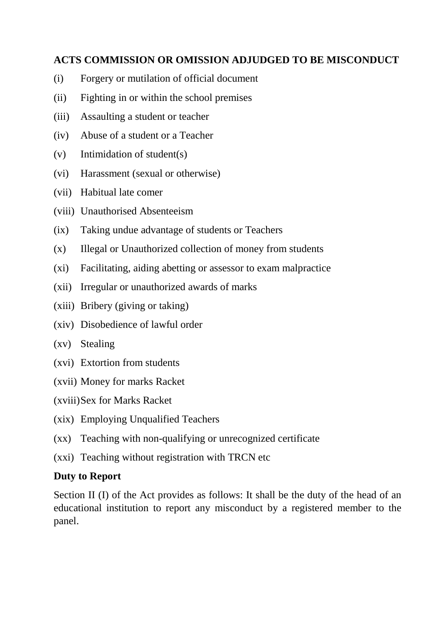## **ACTS COMMISSION OR OMISSION ADJUDGED TO BE MISCONDUCT**

- (i) Forgery or mutilation of official document
- (ii) Fighting in or within the school premises
- (iii) Assaulting a student or teacher
- (iv) Abuse of a student or a Teacher
- (v) Intimidation of student(s)
- (vi) Harassment (sexual or otherwise)
- (vii) Habitual late comer
- (viii) Unauthorised Absenteeism
- (ix) Taking undue advantage of students or Teachers
- (x) Illegal or Unauthorized collection of money from students
- (xi) Facilitating, aiding abetting or assessor to exam malpractice
- (xii) Irregular or unauthorized awards of marks
- (xiii) Bribery (giving or taking)
- (xiv) Disobedience of lawful order
- (xv) Stealing
- (xvi) Extortion from students
- (xvii) Money for marks Racket
- (xviii)Sex for Marks Racket
- (xix) Employing Unqualified Teachers
- (xx) Teaching with non-qualifying or unrecognized certificate
- (xxi) Teaching without registration with TRCN etc

## **Duty to Report**

Section II (I) of the Act provides as follows: It shall be the duty of the head of an educational institution to report any misconduct by a registered member to the panel.